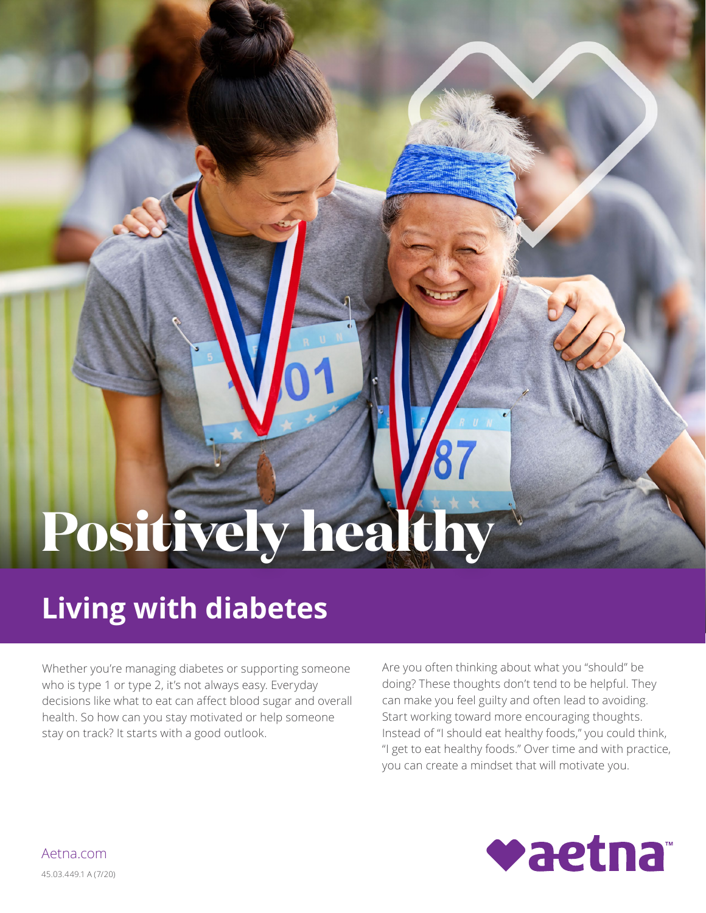# **Positively healthy**

## **Living with diabetes**

Whether you're managing diabetes or supporting someone who is type 1 or type 2, it's not always easy. Everyday decisions like what to eat can affect blood sugar and overall health. So how can you stay motivated or help someone stay on track? It starts with a good outlook.

Are you often thinking about what you "should" be doing? These thoughts don't tend to be helpful. They can make you feel guilty and often lead to avoiding. Start working toward more encouraging thoughts. Instead of "I should eat healthy foods," you could think, "I get to eat healthy foods." Over time and with practice, you can create a mindset that will motivate you.



[Aetna.com](http://www.aetna.com)  45.03.449.1 A (7/20)